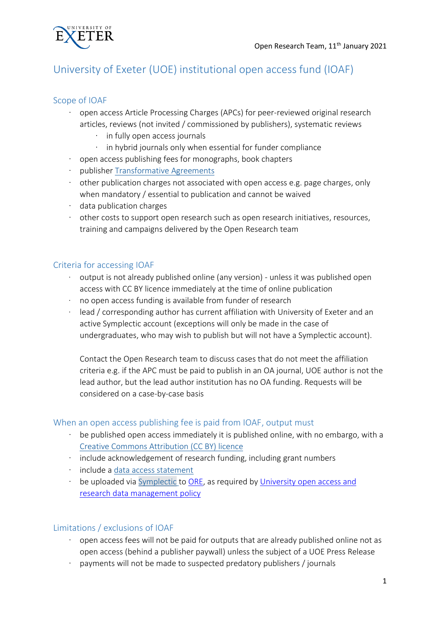

# University of Exeter (UOE) institutional open access fund (IOAF)

# Scope of IOAF

- · open access Article Processing Charges (APCs) for peer-reviewed original research articles, reviews (not invited / commissioned by publishers), systematic reviews
	- · in fully open access journals
	- · in hybrid journals only when essential for funder compliance
- · open access publishing fees for monographs, book chapters
- · publisher [Transformative Agreements](http://www.exeter.ac.uk/research/openresearch/oa/discounts/)
- · other publication charges not associated with open access e.g. page charges, only when mandatory / essential to publication and cannot be waived
- · data publication charges
- · other costs to support open research such as open research initiatives, resources, training and campaigns delivered by the Open Research team

# Criteria for accessing IOAF

- $\cdot$  output is not already published online (any version) unless it was published open access with CC BY licence immediately at the time of online publication
- · no open access funding is available from funder of research
- $\cdot$  lead / corresponding author has current affiliation with University of Exeter and an active Symplectic account (exceptions will only be made in the case of undergraduates, who may wish to publish but will not have a Symplectic account).

Contact the Open Research team to discuss cases that do not meet the affiliation criteria e.g. if the APC must be paid to publish in an OA journal, UOE author is not the lead author, but the lead author institution has no OA funding. Requests will be considered on a case-by-case basis

## When an open access publishing fee is paid from IOAF, output must

- $\cdot$  be published open access immediately it is published online, with no embargo, with a [Creative Commons Attribution \(CC BY\) licence](https://creativecommons.org/)
- · include acknowledgement of research funding, including grant numbers
- · include a [data access statement](http://www.exeter.ac.uk/research/researchdatamanagement/after/discovery/#dataaccessstatements)
- · be uploaded via [Symplectic](https://researchpubs.exeter.ac.uk/login.html?returnurl=%2fdefault.html%22%20/t%20%22_blank) to [ORE,](https://ore.exeter.ac.uk/repository/) as required by [University open access and](https://ore.exeter.ac.uk/repository/bitstream/handle/10871/26168/Revised%20Open%20Research%20Policy%20FINAL_full.pdf?sequence=3&isAllowed=y)  [research data management policy](https://ore.exeter.ac.uk/repository/bitstream/handle/10871/26168/Revised%20Open%20Research%20Policy%20FINAL_full.pdf?sequence=3&isAllowed=y)

## Limitations / exclusions of IOAF

- open access fees will not be paid for outputs that are already published online not as open access (behind a publisher paywall) unless the subject of a UOE Press Release
- · payments will not be made to suspected predatory publishers / journals